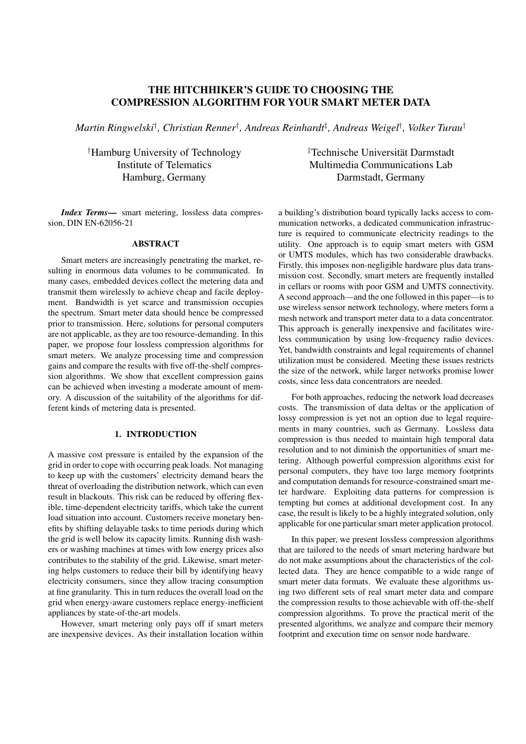# THE HITCHHIKER'S GUIDE TO CHOOSING THE COMPRESSION ALGORITHM FOR YOUR SMART METER DATA

*Martin Ringwelski† , Christian Renner† , Andreas Reinhardt‡ , Andreas Weigel† , Volker Turau†*

*†* Hamburg University of Technology Institute of Telematics Hamburg, Germany

*Index Terms*— smart metering, lossless data compression, DIN EN-62056-21

### ABSTRACT

Smart meters are increasingly penetrating the market, resulting in enormous data volumes to be communicated. In many cases, embedded devices collect the metering data and transmit them wirelessly to achieve cheap and facile deployment. Bandwidth is yet scarce and transmission occupies the spectrum. Smart meter data should hence be compressed prior to transmission. Here, solutions for personal computers are not applicable, as they are too resource-demanding. In this paper, we propose four lossless compression algorithms for smart meters. We analyze processing time and compression gains and compare the results with five off-the-shelf compression algorithms. We show that excellent compression gains can be achieved when investing a moderate amount of memory. A discussion of the suitability of the algorithms for different kinds of metering data is presented.

# 1. INTRODUCTION

A massive cost pressure is entailed by the expansion of the grid in order to cope with occurring peak loads. Not managing to keep up with the customers' electricity demand bears the threat of overloading the distribution network, which can even result in blackouts. This risk can be reduced by offering flexible, time-dependent electricity tariffs, which take the current load situation into account. Customers receive monetary benefits by shifting delayable tasks to time periods during which the grid is well below its capacity limits. Running dish washers or washing machines at times with low energy prices also contributes to the stability of the grid. Likewise, smart metering helps customers to reduce their bill by identifying heavy electricity consumers, since they allow tracing consumption at fine granularity. This in turn reduces the overall load on the grid when energy-aware customers replace energy-inefficient appliances by state-of-the-art models.

However, smart metering only pays off if smart meters are inexpensive devices. As their installation location within *‡* Technische Universitat Darmstadt ¨ Multimedia Communications Lab Darmstadt, Germany

a building's distribution board typically lacks access to communication networks, a dedicated communication infrastructure is required to communicate electricity readings to the utility. One approach is to equip smart meters with GSM or UMTS modules, which has two considerable drawbacks. Firstly, this imposes non-negligible hardware plus data transmission cost. Secondly, smart meters are frequently installed in cellars or rooms with poor GSM and UMTS connectivity. A second approach—and the one followed in this paper—is to use wireless sensor network technology, where meters form a mesh network and transport meter data to a data concentrator. This approach is generally inexpensive and facilitates wireless communication by using low-frequency radio devices. Yet, bandwidth constraints and legal requirements of channel utilization must be considered. Meeting these issues restricts the size of the network, while larger networks promise lower costs, since less data concentrators are needed.

For both approaches, reducing the network load decreases costs. The transmission of data deltas or the application of lossy compression is yet not an option due to legal requirements in many countries, such as Germany. Lossless data compression is thus needed to maintain high temporal data resolution and to not diminish the opportunities of smart metering. Although powerful compression algorithms exist for personal computers, they have too large memory footprints and computation demands for resource-constrained smart meter hardware. Exploiting data patterns for compression is tempting but comes at additional development cost. In any case, the result is likely to be a highly integrated solution, only applicable for one particular smart meter application protocol.

In this paper, we present lossless compression algorithms that are tailored to the needs of smart metering hardware but do not make assumptions about the characteristics of the collected data. They are hence compatible to a wide range of smart meter data formats. We evaluate these algorithms using two different sets of real smart meter data and compare the compression results to those achievable with off-the-shelf compression algorithms. To prove the practical merit of the presented algorithms, we analyze and compare their memory footprint and execution time on sensor node hardware.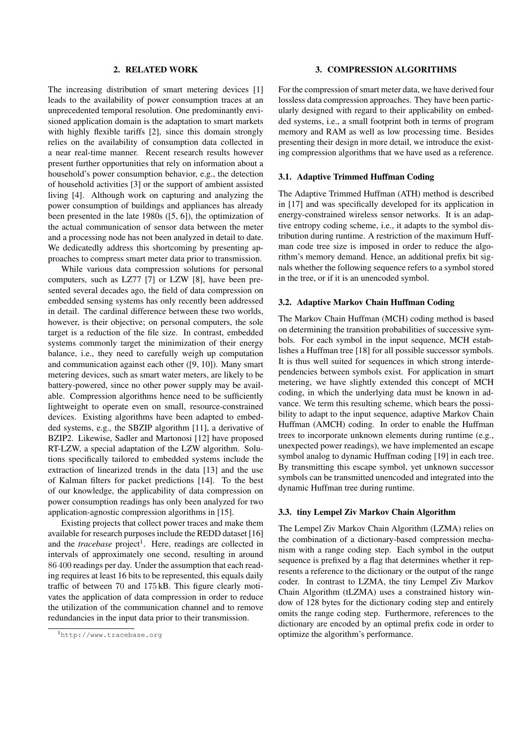# 2. RELATED WORK

The increasing distribution of smart metering devices [1] leads to the availability of power consumption traces at an unprecedented temporal resolution. One predominantly envisioned application domain is the adaptation to smart markets with highly flexible tariffs [2], since this domain strongly relies on the availability of consumption data collected in a near real-time manner. Recent research results however present further opportunities that rely on information about a household's power consumption behavior, e.g., the detection of household activities [3] or the support of ambient assisted living [4]. Although work on capturing and analyzing the power consumption of buildings and appliances has already been presented in the late 1980s ([5, 6]), the optimization of the actual communication of sensor data between the meter and a processing node has not been analyzed in detail to date. We dedicatedly address this shortcoming by presenting approaches to compress smart meter data prior to transmission.

While various data compression solutions for personal computers, such as LZ77 [7] or LZW [8], have been presented several decades ago, the field of data compression on embedded sensing systems has only recently been addressed in detail. The cardinal difference between these two worlds, however, is their objective; on personal computers, the sole target is a reduction of the file size. In contrast, embedded systems commonly target the minimization of their energy balance, i.e., they need to carefully weigh up computation and communication against each other ([9, 10]). Many smart metering devices, such as smart water meters, are likely to be battery-powered, since no other power supply may be available. Compression algorithms hence need to be sufficiently lightweight to operate even on small, resource-constrained devices. Existing algorithms have been adapted to embedded systems, e.g., the SBZIP algorithm [11], a derivative of BZIP2. Likewise, Sadler and Martonosi [12] have proposed RT-LZW, a special adaptation of the LZW algorithm. Solutions specifically tailored to embedded systems include the extraction of linearized trends in the data [13] and the use of Kalman filters for packet predictions [14]. To the best of our knowledge, the applicability of data compression on power consumption readings has only been analyzed for two application-agnostic compression algorithms in [15].

Existing projects that collect power traces and make them available for research purposes include the REDD dataset [16] and the *tracebase* project<sup>1</sup>. Here, readings are collected in intervals of approximately one second, resulting in around 86 400 readings per day. Under the assumption that each reading requires at least 16 bits to be represented, this equals daily traffic of between 70 and 175 kB. This figure clearly motivates the application of data compression in order to reduce the utilization of the communication channel and to remove redundancies in the input data prior to their transmission.

### 3. COMPRESSION ALGORITHMS

For the compression of smart meter data, we have derived four lossless data compression approaches. They have been particularly designed with regard to their applicability on embedded systems, i.e., a small footprint both in terms of program memory and RAM as well as low processing time. Besides presenting their design in more detail, we introduce the existing compression algorithms that we have used as a reference.

### 3.1. Adaptive Trimmed Huffman Coding

The Adaptive Trimmed Huffman (ATH) method is described in [17] and was specifically developed for its application in energy-constrained wireless sensor networks. It is an adaptive entropy coding scheme, i.e., it adapts to the symbol distribution during runtime. A restriction of the maximum Huffman code tree size is imposed in order to reduce the algorithm's memory demand. Hence, an additional prefix bit signals whether the following sequence refers to a symbol stored in the tree, or if it is an unencoded symbol.

#### 3.2. Adaptive Markov Chain Huffman Coding

The Markov Chain Huffman (MCH) coding method is based on determining the transition probabilities of successive symbols. For each symbol in the input sequence, MCH establishes a Huffman tree [18] for all possible successor symbols. It is thus well suited for sequences in which strong interdependencies between symbols exist. For application in smart metering, we have slightly extended this concept of MCH coding, in which the underlying data must be known in advance. We term this resulting scheme, which bears the possibility to adapt to the input sequence, adaptive Markov Chain Huffman (AMCH) coding. In order to enable the Huffman trees to incorporate unknown elements during runtime (e.g., unexpected power readings), we have implemented an escape symbol analog to dynamic Huffman coding [19] in each tree. By transmitting this escape symbol, yet unknown successor symbols can be transmitted unencoded and integrated into the dynamic Huffman tree during runtime.

### 3.3. tiny Lempel Ziv Markov Chain Algorithm

The Lempel Ziv Markov Chain Algorithm (LZMA) relies on the combination of a dictionary-based compression mechanism with a range coding step. Each symbol in the output sequence is prefixed by a flag that determines whether it represents a reference to the dictionary or the output of the range coder. In contrast to LZMA, the tiny Lempel Ziv Markov Chain Algorithm (tLZMA) uses a constrained history window of 128 bytes for the dictionary coding step and entirely omits the range coding step. Furthermore, references to the dictionary are encoded by an optimal prefix code in order to optimize the algorithm's performance.

<sup>1</sup>http://www.tracebase.org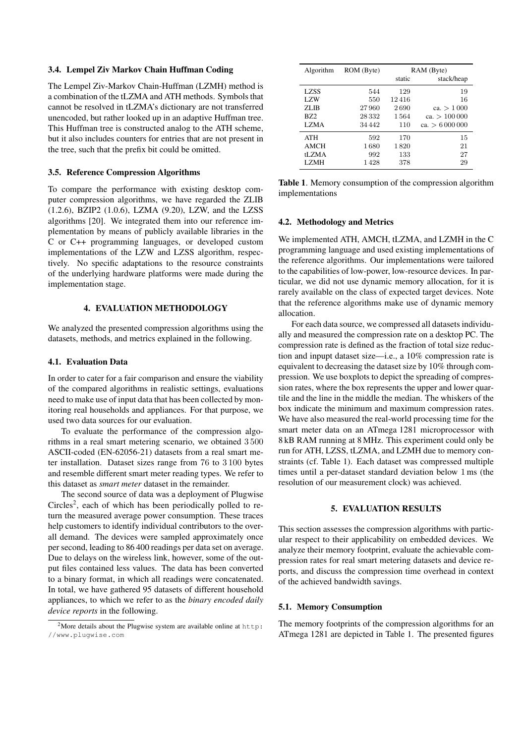### 3.4. Lempel Ziv Markov Chain Huffman Coding

The Lempel Ziv-Markov Chain-Huffman (LZMH) method is a combination of the tLZMA and ATH methods. Symbols that cannot be resolved in tLZMA's dictionary are not transferred unencoded, but rather looked up in an adaptive Huffman tree. This Huffman tree is constructed analog to the ATH scheme, but it also includes counters for entries that are not present in the tree, such that the prefix bit could be omitted.

# 3.5. Reference Compression Algorithms

To compare the performance with existing desktop computer compression algorithms, we have regarded the ZLIB (1.2.6), BZIP2 (1.0.6), LZMA (9.20), LZW, and the LZSS algorithms [20]. We integrated them into our reference implementation by means of publicly available libraries in the C or C++ programming languages, or developed custom implementations of the LZW and LZSS algorithm, respectively. No specific adaptations to the resource constraints of the underlying hardware platforms were made during the implementation stage.

# 4. EVALUATION METHODOLOGY

We analyzed the presented compression algorithms using the datasets, methods, and metrics explained in the following.

### 4.1. Evaluation Data

In order to cater for a fair comparison and ensure the viability of the compared algorithms in realistic settings, evaluations need to make use of input data that has been collected by monitoring real households and appliances. For that purpose, we used two data sources for our evaluation.

To evaluate the performance of the compression algorithms in a real smart metering scenario, we obtained 3 500 ASCII-coded (EN-62056-21) datasets from a real smart meter installation. Dataset sizes range from 76 to 3 100 bytes and resemble different smart meter reading types. We refer to this dataset as *smart meter* dataset in the remainder.

The second source of data was a deployment of Plugwise  $Circles<sup>2</sup>$ , each of which has been periodically polled to return the measured average power consumption. These traces help customers to identify individual contributors to the overall demand. The devices were sampled approximately once per second, leading to 86 400 readings per data set on average. Due to delays on the wireless link, however, some of the output files contained less values. The data has been converted to a binary format, in which all readings were concatenated. In total, we have gathered 95 datasets of different household appliances, to which we refer to as the *binary encoded daily device reports* in the following.

| Algorithm   | ROM (Byte) | RAM (Byte) |                 |
|-------------|------------|------------|-----------------|
|             |            | static     | stack/heap      |
| <b>LZSS</b> | 544        | 129        | 19              |
| LZW         | 550        | 12416      | 16              |
| ZLIB        | 27960      | 2690       | ca. $> 1000$    |
| <b>BZ2</b>  | 28 3 32    | 1564       | ca. > 100000    |
| <b>LZMA</b> | 34 4 4 2   | 110        | ca. $> 6000000$ |
| ATH         | 592        | 170        | 15              |
| <b>AMCH</b> | 1680       | 1820       | 21              |
| tLZMA       | 992        | 133        | 27              |
| LZMH        | 1428       | 378        | 29              |

Table 1. Memory consumption of the compression algorithm implementations

# 4.2. Methodology and Metrics

We implemented ATH, AMCH, tLZMA, and LZMH in the C programming language and used existing implementations of the reference algorithms. Our implementations were tailored to the capabilities of low-power, low-resource devices. In particular, we did not use dynamic memory allocation, for it is rarely available on the class of expected target devices. Note that the reference algorithms make use of dynamic memory allocation.

For each data source, we compressed all datasets individually and measured the compression rate on a desktop PC. The compression rate is defined as the fraction of total size reduction and inpupt dataset size—i.e., a 10% compression rate is equivalent to decreasing the dataset size by 10% through compression. We use boxplots to depict the spreading of compression rates, where the box represents the upper and lower quartile and the line in the middle the median. The whiskers of the box indicate the minimum and maximum compression rates. We have also measured the real-world processing time for the smart meter data on an ATmega 1281 microprocessor with 8 kB RAM running at 8 MHz. This experiment could only be run for ATH, LZSS, tLZMA, and LZMH due to memory constraints (cf. Table 1). Each dataset was compressed multiple times until a per-dataset standard deviation below 1 ms (the resolution of our measurement clock) was achieved.

# 5. EVALUATION RESULTS

This section assesses the compression algorithms with particular respect to their applicability on embedded devices. We analyze their memory footprint, evaluate the achievable compression rates for real smart metering datasets and device reports, and discuss the compression time overhead in context of the achieved bandwidth savings.

### 5.1. Memory Consumption

The memory footprints of the compression algorithms for an ATmega 1281 are depicted in Table 1. The presented figures

<sup>2</sup>More details about the Plugwise system are available online at http: //www.plugwise.com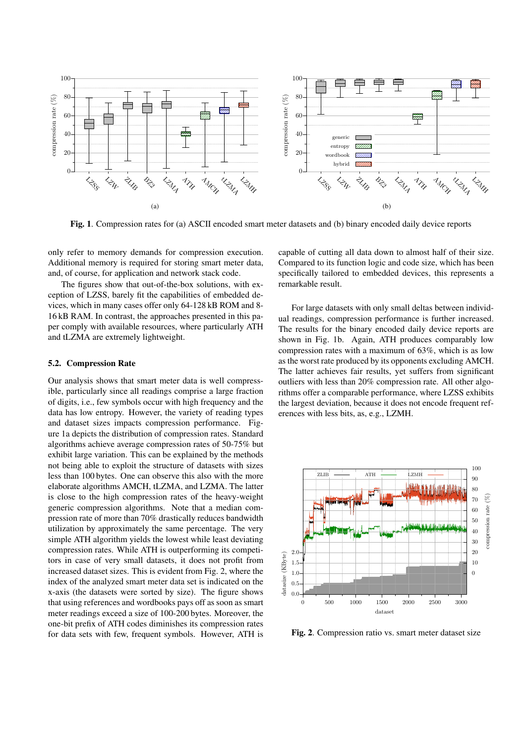

Fig. 1. Compression rates for (a) ASCII encoded smart meter datasets and (b) binary encoded daily device reports

only refer to memory demands for compression execution. Additional memory is required for storing smart meter data, and, of course, for application and network stack code.

The figures show that out-of-the-box solutions, with exception of LZSS, barely fit the capabilities of embedded devices, which in many cases offer only 64-128 kB ROM and 8- 16 kB RAM. In contrast, the approaches presented in this paper comply with available resources, where particularly ATH and tLZMA are extremely lightweight.

### 5.2. Compression Rate

Our analysis shows that smart meter data is well compressible, particularly since all readings comprise a large fraction of digits, i.e., few symbols occur with high frequency and the data has low entropy. However, the variety of reading types and dataset sizes impacts compression performance. Figure 1a depicts the distribution of compression rates. Standard algorithms achieve average compression rates of 50-75% but exhibit large variation. This can be explained by the methods not being able to exploit the structure of datasets with sizes less than 100 bytes. One can observe this also with the more elaborate algorithms AMCH, tLZMA, and LZMA. The latter is close to the high compression rates of the heavy-weight generic compression algorithms. Note that a median compression rate of more than 70% drastically reduces bandwidth utilization by approximately the same percentage. The very simple ATH algorithm yields the lowest while least deviating compression rates. While ATH is outperforming its competitors in case of very small datasets, it does not profit from increased dataset sizes. This is evident from Fig. 2, where the index of the analyzed smart meter data set is indicated on the x-axis (the datasets were sorted by size). The figure shows that using references and wordbooks pays off as soon as smart meter readings exceed a size of 100-200 bytes. Moreover, the one-bit prefix of ATH codes diminishes its compression rates for data sets with few, frequent symbols. However, ATH is capable of cutting all data down to almost half of their size. Compared to its function logic and code size, which has been specifically tailored to embedded devices, this represents a remarkable result.

For large datasets with only small deltas between individual readings, compression performance is further increased. The results for the binary encoded daily device reports are shown in Fig. 1b. Again, ATH produces comparably low compression rates with a maximum of 63%, which is as low as the worst rate produced by its opponents excluding AMCH. The latter achieves fair results, yet suffers from significant outliers with less than 20% compression rate. All other algorithms offer a comparable performance, where LZSS exhibits the largest deviation, because it does not encode frequent references with less bits, as, e.g., LZMH.



Fig. 2. Compression ratio vs. smart meter dataset size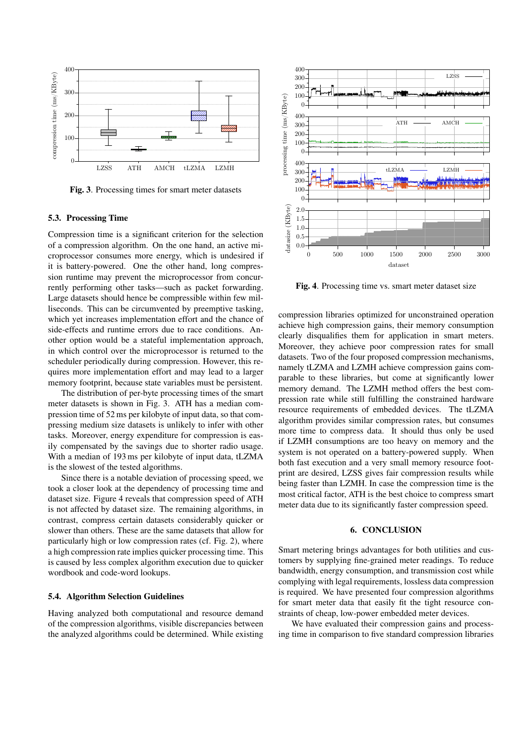

Fig. 3. Processing times for smart meter datasets

# 5.3. Processing Time

Compression time is a significant criterion for the selection of a compression algorithm. On the one hand, an active microprocessor consumes more energy, which is undesired if it is battery-powered. One the other hand, long compression runtime may prevent the microprocessor from concurrently performing other tasks—such as packet forwarding. Large datasets should hence be compressible within few milliseconds. This can be circumvented by preemptive tasking, which yet increases implementation effort and the chance of side-effects and runtime errors due to race conditions. Another option would be a stateful implementation approach, in which control over the microprocessor is returned to the scheduler periodically during compression. However, this requires more implementation effort and may lead to a larger memory footprint, because state variables must be persistent.

The distribution of per-byte processing times of the smart meter datasets is shown in Fig. 3. ATH has a median compression time of 52 ms per kilobyte of input data, so that compressing medium size datasets is unlikely to infer with other tasks. Moreover, energy expenditure for compression is easily compensated by the savings due to shorter radio usage. With a median of 193 ms per kilobyte of input data, tLZMA is the slowest of the tested algorithms.

Since there is a notable deviation of processing speed, we took a closer look at the dependency of processing time and dataset size. Figure 4 reveals that compression speed of ATH is not affected by dataset size. The remaining algorithms, in contrast, compress certain datasets considerably quicker or slower than others. These are the same datasets that allow for particularly high or low compression rates (cf. Fig. 2), where a high compression rate implies quicker processing time. This is caused by less complex algorithm execution due to quicker wordbook and code-word lookups.

# 5.4. Algorithm Selection Guidelines

Having analyzed both computational and resource demand of the compression algorithms, visible discrepancies between the analyzed algorithms could be determined. While existing



Fig. 4. Processing time vs. smart meter dataset size

compression libraries optimized for unconstrained operation achieve high compression gains, their memory consumption clearly disqualifies them for application in smart meters. Moreover, they achieve poor compression rates for small datasets. Two of the four proposed compression mechanisms, namely tLZMA and LZMH achieve compression gains comparable to these libraries, but come at significantly lower memory demand. The LZMH method offers the best compression rate while still fulfilling the constrained hardware resource requirements of embedded devices. The tLZMA algorithm provides similar compression rates, but consumes more time to compress data. It should thus only be used if LZMH consumptions are too heavy on memory and the system is not operated on a battery-powered supply. When both fast execution and a very small memory resource footprint are desired, LZSS gives fair compression results while being faster than LZMH. In case the compression time is the most critical factor, ATH is the best choice to compress smart meter data due to its significantly faster compression speed.

#### 6. CONCLUSION

Smart metering brings advantages for both utilities and customers by supplying fine-grained meter readings. To reduce bandwidth, energy consumption, and transmission cost while complying with legal requirements, lossless data compression is required. We have presented four compression algorithms for smart meter data that easily fit the tight resource constraints of cheap, low-power embedded meter devices.

We have evaluated their compression gains and processing time in comparison to five standard compression libraries